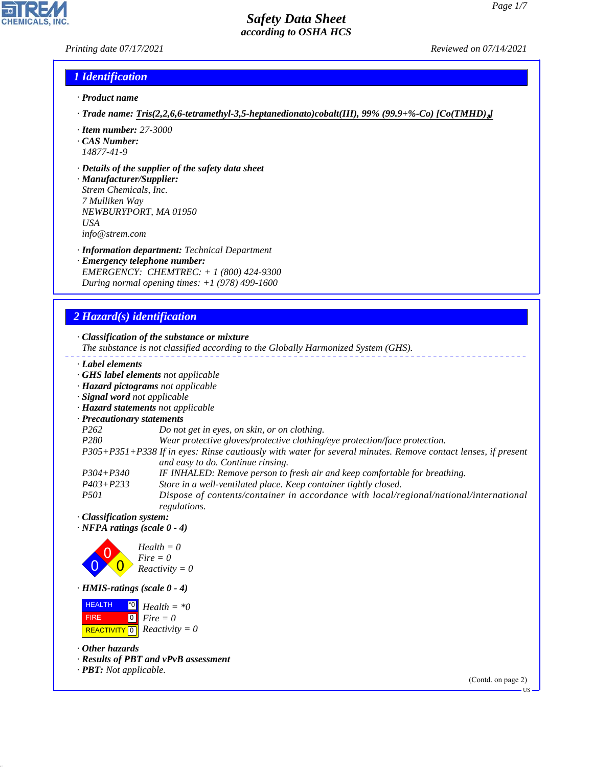## *Printing date 07/17/2021 Reviewed on 07/14/2021*

## *1 Identification*

- *· Product name*
- *· Trade name: Tris(2,2,6,6-tetramethyl-3,5-heptanedionato)cobalt(III), 99% (99.9+%-Co) [Co(TMHD)*₃*]*
- *· Item number: 27-3000*
- *· CAS Number: 14877-41-9*
- *· Details of the supplier of the safety data sheet*

*· Manufacturer/Supplier: Strem Chemicals, Inc. 7 Mulliken Way NEWBURYPORT, MA 01950 USA info@strem.com*

*· Information department: Technical Department*

*· Emergency telephone number: EMERGENCY: CHEMTREC: + 1 (800) 424-9300 During normal opening times: +1 (978) 499-1600*

# *2 Hazard(s) identification*

*· Classification of the substance or mixture*

- *The substance is not classified according to the Globally Harmonized System (GHS).*
- *· Label elements*
- *· GHS label elements not applicable*
- *· Hazard pictograms not applicable*
- *· Signal word not applicable*
- *· Hazard statements not applicable*
- *· Precautionary statements*
- *P262 Do not get in eyes, on skin, or on clothing.*
- *P280 Wear protective gloves/protective clothing/eye protection/face protection.*

*P305+P351+P338 If in eyes: Rinse cautiously with water for several minutes. Remove contact lenses, if present and easy to do. Continue rinsing.*

- *P304+P340 IF INHALED: Remove person to fresh air and keep comfortable for breathing.*
- *P403+P233 Store in a well-ventilated place. Keep container tightly closed.*

*P501 Dispose of contents/container in accordance with local/regional/national/international regulations.*

*· Classification system:*

*· NFPA ratings (scale 0 - 4)*



*· HMIS-ratings (scale 0 - 4)*

 HEALTH FIRE  $\boxed{\text{REACTIVITY} \boxed{0}}$  Reactivity = 0 \*0  $\boxed{0}$ *Health = \*0 Fire = 0*

*· Other hazards*

44.1.1

- *· Results of PBT and vPvB assessment*
- *· PBT: Not applicable.*

(Contd. on page 2)

US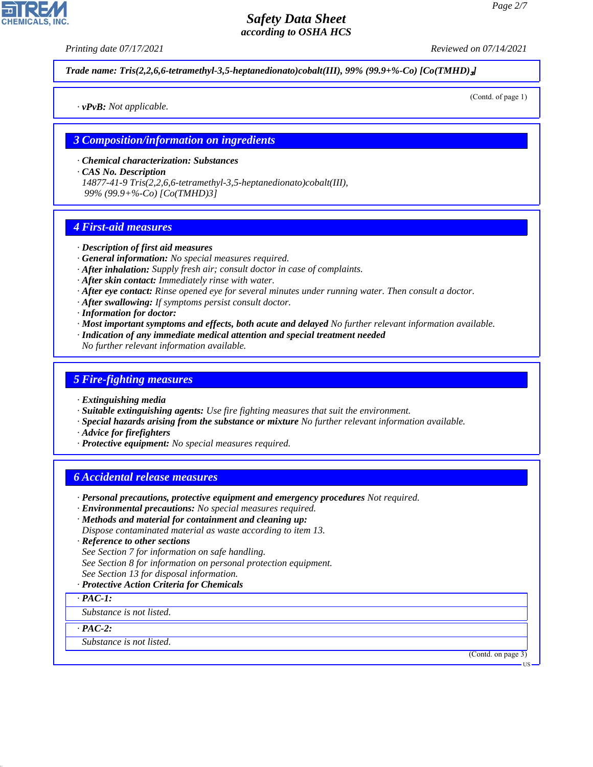*Printing date 07/17/2021 Reviewed on 07/14/2021*

*Trade name: Tris(2,2,6,6-tetramethyl-3,5-heptanedionato)cobalt(III), 99% (99.9+%-Co) [Co(TMHD)*₃*]*

*· vPvB: Not applicable.*

(Contd. of page 1)

## *3 Composition/information on ingredients*

*· Chemical characterization: Substances*

*· CAS No. Description*

*14877-41-9 Tris(2,2,6,6-tetramethyl-3,5-heptanedionato)cobalt(III), 99% (99.9+%-Co) [Co(TMHD)3]*

## *4 First-aid measures*

#### *· Description of first aid measures*

- *· General information: No special measures required.*
- *· After inhalation: Supply fresh air; consult doctor in case of complaints.*
- *· After skin contact: Immediately rinse with water.*
- *· After eye contact: Rinse opened eye for several minutes under running water. Then consult a doctor.*
- *· After swallowing: If symptoms persist consult doctor.*
- *· Information for doctor:*
- *· Most important symptoms and effects, both acute and delayed No further relevant information available.*
- *· Indication of any immediate medical attention and special treatment needed*
- *No further relevant information available.*

## *5 Fire-fighting measures*

- *· Extinguishing media*
- *· Suitable extinguishing agents: Use fire fighting measures that suit the environment.*
- *· Special hazards arising from the substance or mixture No further relevant information available.*
- *· Advice for firefighters*
- *· Protective equipment: No special measures required.*

## *6 Accidental release measures*

- *· Personal precautions, protective equipment and emergency procedures Not required.*
- *· Environmental precautions: No special measures required.*
- *· Methods and material for containment and cleaning up: Dispose contaminated material as waste according to item 13.*
- 
- *· Reference to other sections*
- *See Section 7 for information on safe handling.*
- *See Section 8 for information on personal protection equipment.*
- *See Section 13 for disposal information.*
- *· Protective Action Criteria for Chemicals*

*· PAC-1:*

*Substance is not listed.*

*· PAC-2:*

44.1.1

*Substance is not listed.*

(Contd. on page 3)

US

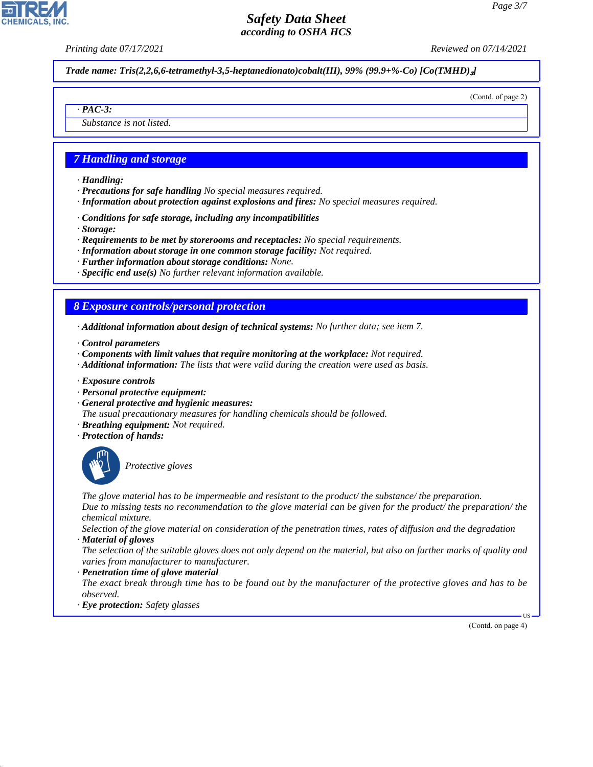*Printing date 07/17/2021 Reviewed on 07/14/2021*

*Trade name: Tris(2,2,6,6-tetramethyl-3,5-heptanedionato)cobalt(III), 99% (99.9+%-Co) [Co(TMHD)*₃*]*

(Contd. of page 2)

*Substance is not listed.*

## *7 Handling and storage*

*· Handling:*

*· PAC-3:*

- *· Precautions for safe handling No special measures required.*
- *· Information about protection against explosions and fires: No special measures required.*
- *· Conditions for safe storage, including any incompatibilities*
- *· Storage:*
- *· Requirements to be met by storerooms and receptacles: No special requirements.*
- *· Information about storage in one common storage facility: Not required.*
- *· Further information about storage conditions: None.*
- *· Specific end use(s) No further relevant information available.*

## *8 Exposure controls/personal protection*

- *· Additional information about design of technical systems: No further data; see item 7.*
- *· Control parameters*
- *· Components with limit values that require monitoring at the workplace: Not required.*
- *· Additional information: The lists that were valid during the creation were used as basis.*
- *· Exposure controls*
- *· Personal protective equipment:*
- *· General protective and hygienic measures:*
- *The usual precautionary measures for handling chemicals should be followed.*
- *· Breathing equipment: Not required.*
- *· Protection of hands:*



44.1.1

\_S*Protective gloves*

*The glove material has to be impermeable and resistant to the product/ the substance/ the preparation. Due to missing tests no recommendation to the glove material can be given for the product/ the preparation/ the chemical mixture.*

*Selection of the glove material on consideration of the penetration times, rates of diffusion and the degradation · Material of gloves*

*The selection of the suitable gloves does not only depend on the material, but also on further marks of quality and varies from manufacturer to manufacturer.*

#### *· Penetration time of glove material*

*The exact break through time has to be found out by the manufacturer of the protective gloves and has to be observed.*

*· Eye protection: Safety glasses*

(Contd. on page 4)

US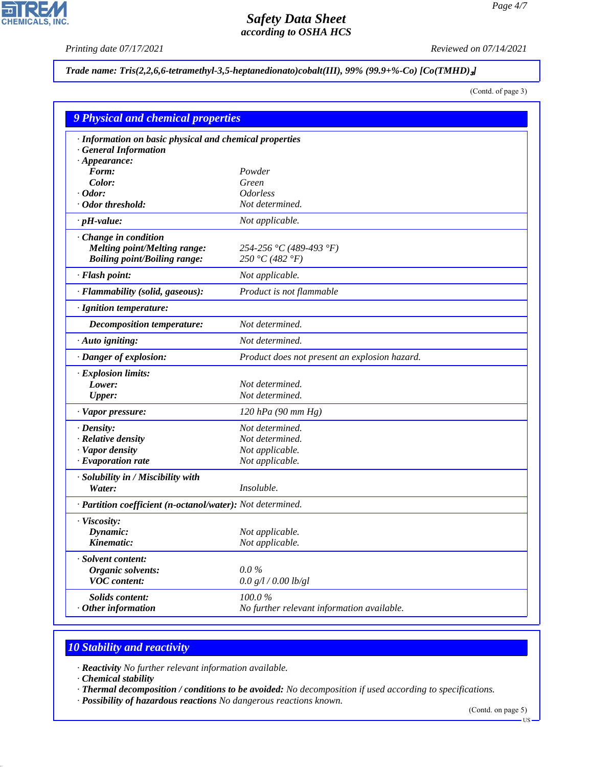$\overline{\mathbf{r}}$ 

**CHEMICALS, INC.** 

*Printing date 07/17/2021 Reviewed on 07/14/2021*

## *Trade name: Tris(2,2,6,6-tetramethyl-3,5-heptanedionato)cobalt(III), 99% (99.9+%-Co) [Co(TMHD)*₃*]*

(Contd. of page 3)

| <b>9 Physical and chemical properties</b>                  |                                               |  |
|------------------------------------------------------------|-----------------------------------------------|--|
| · Information on basic physical and chemical properties    |                                               |  |
| · General Information                                      |                                               |  |
| $\cdot$ Appearance:                                        |                                               |  |
| Form:                                                      | Powder                                        |  |
| Color:                                                     | Green                                         |  |
| Odor:                                                      | <i><b>Odorless</b></i>                        |  |
| · Odor threshold:                                          | Not determined.                               |  |
| $\cdot$ pH-value:                                          | Not applicable.                               |  |
| $\cdot$ Change in condition                                |                                               |  |
| <b>Melting point/Melting range:</b>                        | 254-256 °C (489-493 °F)                       |  |
| <b>Boiling point/Boiling range:</b>                        | 250 °C (482 °F)                               |  |
| · Flash point:                                             | Not applicable.                               |  |
| · Flammability (solid, gaseous):                           | Product is not flammable                      |  |
| · Ignition temperature:                                    |                                               |  |
| <b>Decomposition temperature:</b>                          | Not determined.                               |  |
| $\cdot$ Auto igniting:                                     | Not determined.                               |  |
| · Danger of explosion:                                     | Product does not present an explosion hazard. |  |
| · Explosion limits:                                        |                                               |  |
| Lower:                                                     | Not determined.                               |  |
| <b>Upper:</b>                                              | Not determined.                               |  |
| · Vapor pressure:                                          | $120$ hPa (90 mm Hg)                          |  |
| $\cdot$ Density:                                           | Not determined.                               |  |
| · Relative density                                         | Not determined.                               |  |
| · Vapor density                                            | Not applicable.                               |  |
| $\cdot$ Evaporation rate                                   | Not applicable.                               |  |
| · Solubility in / Miscibility with                         |                                               |  |
| Water:                                                     | Insoluble.                                    |  |
| · Partition coefficient (n-octanol/water): Not determined. |                                               |  |
| · Viscosity:                                               |                                               |  |
| Dynamic:                                                   | Not applicable.                               |  |
| Kinematic:                                                 | Not applicable.                               |  |
| Solvent content:                                           |                                               |  |
| <b>Organic solvents:</b>                                   | $0.0\%$                                       |  |
| <b>VOC</b> content:                                        | 0.0 g/l / 0.00 lb/gl                          |  |
| Solids content:                                            | 100.0%                                        |  |
| Other information                                          | No further relevant information available.    |  |

# *10 Stability and reactivity*

*· Reactivity No further relevant information available.*

*· Chemical stability*

44.1.1

*· Thermal decomposition / conditions to be avoided: No decomposition if used according to specifications.*

*· Possibility of hazardous reactions No dangerous reactions known.*

(Contd. on page 5)

 $-US$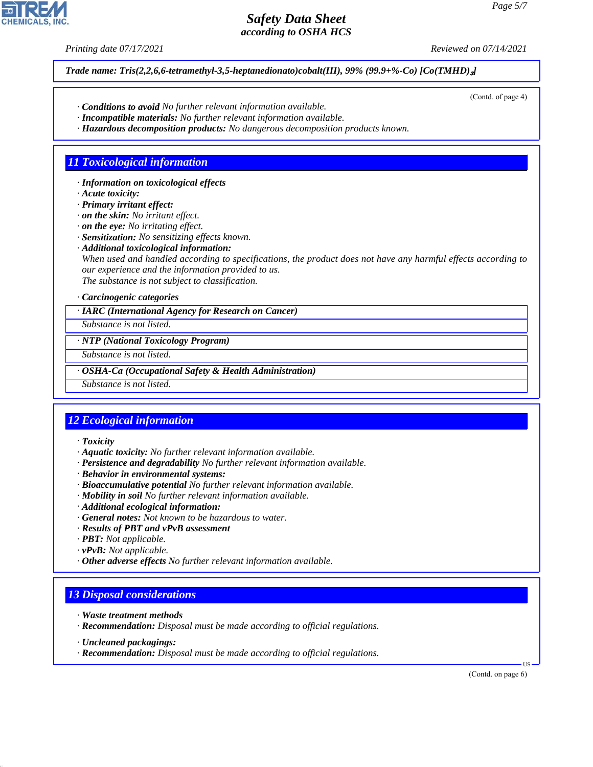*Printing date 07/17/2021 Reviewed on 07/14/2021*

*Trade name: Tris(2,2,6,6-tetramethyl-3,5-heptanedionato)cobalt(III), 99% (99.9+%-Co) [Co(TMHD)*₃*]*

- *· Conditions to avoid No further relevant information available.*
- *· Incompatible materials: No further relevant information available.*
- *· Hazardous decomposition products: No dangerous decomposition products known.*

# *11 Toxicological information*

*· Information on toxicological effects*

*· Acute toxicity:*

*· Primary irritant effect:*

*· on the skin: No irritant effect.*

*· on the eye: No irritating effect.*

*· Sensitization: No sensitizing effects known.*

*· Additional toxicological information:*

*When used and handled according to specifications, the product does not have any harmful effects according to our experience and the information provided to us.*

*The substance is not subject to classification.*

## *· Carcinogenic categories*

*· IARC (International Agency for Research on Cancer)*

*Substance is not listed.*

*· NTP (National Toxicology Program)*

*Substance is not listed.*

*· OSHA-Ca (Occupational Safety & Health Administration)*

*Substance is not listed.*

# *12 Ecological information*

*· Toxicity*

- *· Aquatic toxicity: No further relevant information available.*
- *· Persistence and degradability No further relevant information available.*
- *· Behavior in environmental systems:*
- *· Bioaccumulative potential No further relevant information available.*
- *· Mobility in soil No further relevant information available.*
- *· Additional ecological information:*
- *· General notes: Not known to be hazardous to water.*
- *· Results of PBT and vPvB assessment*
- *· PBT: Not applicable.*
- *· vPvB: Not applicable.*
- *· Other adverse effects No further relevant information available.*

## *13 Disposal considerations*

- *· Waste treatment methods*
- *· Recommendation: Disposal must be made according to official regulations.*
- *· Uncleaned packagings:*

44.1.1

*· Recommendation: Disposal must be made according to official regulations.*

(Contd. on page 6)

US

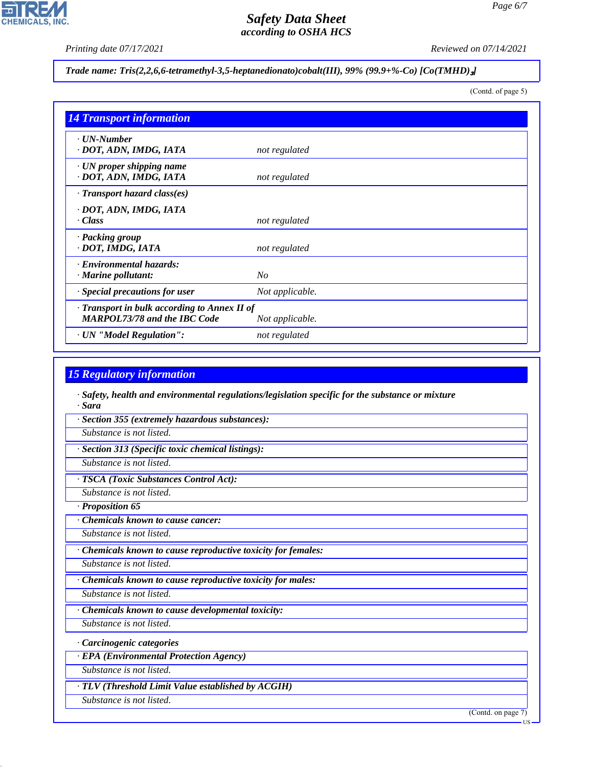*Printing date 07/17/2021 Reviewed on 07/14/2021*

# *Trade name: Tris(2,2,6,6-tetramethyl-3,5-heptanedionato)cobalt(III), 99% (99.9+%-Co) [Co(TMHD)*₃*]*

(Contd. of page 5)

| <b>14 Transport information</b>                                                     |                 |
|-------------------------------------------------------------------------------------|-----------------|
| $\cdot$ UN-Number<br>· DOT, ADN, IMDG, IATA                                         | not regulated   |
| $\cdot$ UN proper shipping name<br>· DOT, ADN, IMDG, IATA                           | not regulated   |
| $\cdot$ Transport hazard class(es)                                                  |                 |
| · DOT, ADN, IMDG, IATA<br>· Class                                                   | not regulated   |
| · Packing group<br>· DOT, IMDG, IATA                                                | not regulated   |
| · Environmental hazards:<br>$\cdot$ Marine pollutant:                               | N <sub>O</sub>  |
| · Special precautions for user                                                      | Not applicable. |
| · Transport in bulk according to Annex II of<br><b>MARPOL73/78 and the IBC Code</b> | Not applicable. |
| · UN "Model Regulation":                                                            | not regulated   |

## *15 Regulatory information*

*· Safety, health and environmental regulations/legislation specific for the substance or mixture · Sara*

*· Section 355 (extremely hazardous substances):*

*Substance is not listed.*

*· Section 313 (Specific toxic chemical listings):*

*Substance is not listed.*

*· TSCA (Toxic Substances Control Act):*

*Substance is not listed.*

*· Proposition 65*

*· Chemicals known to cause cancer:*

*Substance is not listed.*

*· Chemicals known to cause reproductive toxicity for females:*

*Substance is not listed.*

*· Chemicals known to cause reproductive toxicity for males:*

*Substance is not listed.*

*· Chemicals known to cause developmental toxicity:*

*Substance is not listed.*

*· Carcinogenic categories*

*· EPA (Environmental Protection Agency)*

*Substance is not listed.*

*· TLV (Threshold Limit Value established by ACGIH)*

*Substance is not listed.*

44.1.1

(Contd. on page 7)

US